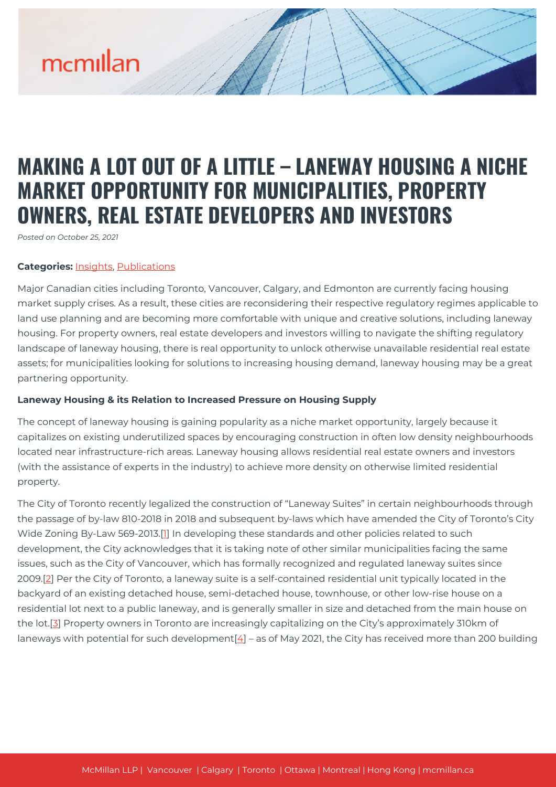# mcmillan

### **MAKING A LOT OUT OF A LITTLE – LANEWAY HOUSING A NICHE MARKET OPPORTUNITY FOR MUNICIPALITIES, PROPERTY OWNERS, REAL ESTATE DEVELOPERS AND INVESTORS**

*Posted on October 25, 2021*

#### **Categories:** [Insights,](https://mcmillan.ca/insights/) [Publications](https://mcmillan.ca/insights/publications/)

Major Canadian cities including Toronto, Vancouver, Calgary, and Edmonton are currently facing housing market supply crises. As a result, these cities are reconsidering their respective regulatory regimes applicable to land use planning and are becoming more comfortable with unique and creative solutions, including laneway housing. For property owners, real estate developers and investors willing to navigate the shifting regulatory landscape of laneway housing, there is real opportunity to unlock otherwise unavailable residential real estate assets; for municipalities looking for solutions to increasing housing demand, laneway housing may be a great partnering opportunity.

#### **Laneway Housing & its Relation to Increased Pressure on Housing Supply**

The concept of laneway housing is gaining popularity as a niche market opportunity, largely because it capitalizes on existing underutilized spaces by encouraging construction in often low density neighbourhoods located near infrastructure-rich areas. Laneway housing allows residential real estate owners and investors (with the assistance of experts in the industry) to achieve more density on otherwise limited residential property.

The City of Toronto recently legalized the construction of "Laneway Suites" in certain neighbourhoods through the passage of by-law 810-2018 in 2018 and subsequent by-laws which have amended the City of Toronto's City Wide Zoning By-Law 569-2013.[[1\]](#page--1-0) In developing these standards and other policies related to such development, the City acknowledges that it is taking note of other similar municipalities facing the same issues, such as the City of Vancouver, which has formally recognized and regulated laneway suites since 2009.[\[2\]](#page--1-0) Per the City of Toronto, a laneway suite is a self-contained residential unit typically located in the backyard of an existing detached house, semi-detached house, townhouse, or other low-rise house on a residential lot next to a public laneway, and is generally smaller in size and detached from the main house on the lot.[[3](#page--1-0)] Property owners in Toronto are increasingly capitalizing on the City's approximately 310km of laneways with potential for such development $[4]$  – as of May 2021, the City has received more than 200 building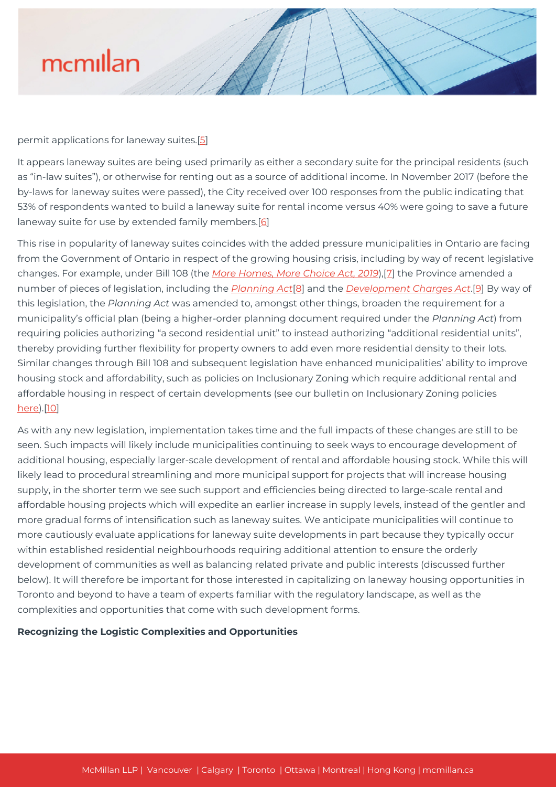

#### permit applications for laneway suites.[\[5\]](#page--1-0)

It appears laneway suites are being used primarily as either a secondary suite for the principal residents (such as "in-law suites"), or otherwise for renting out as a source of additional income. In November 2017 (before the by-laws for laneway suites were passed), the City received over 100 responses from the public indicating that 53% of respondents wanted to build a laneway suite for rental income versus 40% were going to save a future laneway suite for use by extended family members.[\[6](#page--1-0)]

This rise in popularity of laneway suites coincides with the added pressure municipalities in Ontario are facing from the Government of Ontario in respect of the growing housing crisis, including by way of recent legislative changes. For example, under Bill 108 (the *[More Homes, More Choice Act, 2019](https://www.ontario.ca/laws/statute/s19009)*),[[7\]](#page--1-0) the Province amended a number of pieces of legislation, including the *[Planning Act](https://www.ontario.ca/laws/statute/90p13)*[[8](#page--1-0)] and the *[Development Charges Act](https://www.ontario.ca/laws/statute/97d27)*.[\[9](#page--1-0)] By way of this legislation, the *Planning Act* was amended to, amongst other things, broaden the requirement for a municipality's official plan (being a higher-order planning document required under the *Planning Act*) from requiring policies authorizing "a second residential unit" to instead authorizing "additional residential units", thereby providing further flexibility for property owners to add even more residential density to their lots. Similar changes through Bill 108 and subsequent legislation have enhanced municipalities' ability to improve housing stock and affordability, such as policies on Inclusionary Zoning which require additional rental and affordable housing in respect of certain developments (see our bulletin on Inclusionary Zoning policies [here\)](https://mcmillan.ca/insights/impending-implementation-of-ontarios-inclusionary-zoning-regime-in-toronto-and-the-gta/).[\[10](#page--1-0)]

As with any new legislation, implementation takes time and the full impacts of these changes are still to be seen. Such impacts will likely include municipalities continuing to seek ways to encourage development of additional housing, especially larger-scale development of rental and affordable housing stock. While this will likely lead to procedural streamlining and more municipal support for projects that will increase housing supply, in the shorter term we see such support and efficiencies being directed to large-scale rental and affordable housing projects which will expedite an earlier increase in supply levels, instead of the gentler and more gradual forms of intensification such as laneway suites. We anticipate municipalities will continue to more cautiously evaluate applications for laneway suite developments in part because they typically occur within established residential neighbourhoods requiring additional attention to ensure the orderly development of communities as well as balancing related private and public interests (discussed further below). It will therefore be important for those interested in capitalizing on laneway housing opportunities in Toronto and beyond to have a team of experts familiar with the regulatory landscape, as well as the complexities and opportunities that come with such development forms.

#### **Recognizing the Logistic Complexities and Opportunities**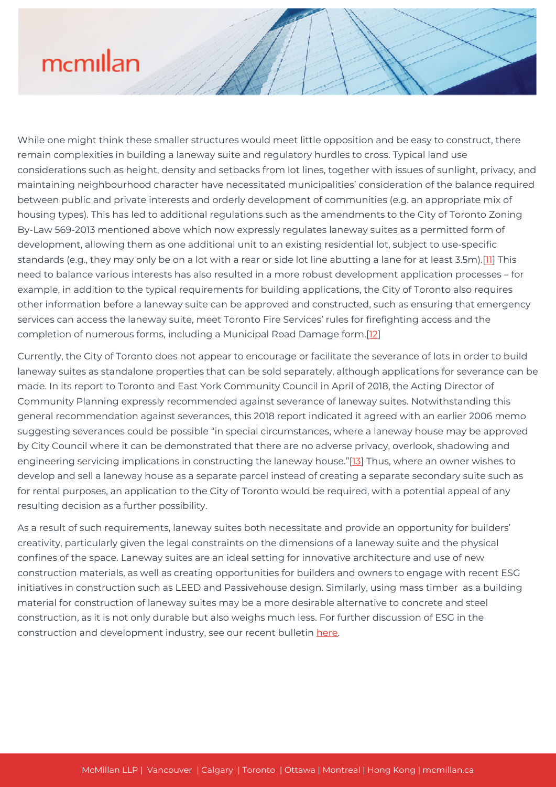## mcmillan

While one might think these smaller structures would meet little opposition and be easy to construct, there remain complexities in building a laneway suite and regulatory hurdles to cross. Typical land use considerations such as height, density and setbacks from lot lines, together with issues of sunlight, privacy, and maintaining neighbourhood character have necessitated municipalities' consideration of the balance required between public and private interests and orderly development of communities (e.g. an appropriate mix of housing types). This has led to additional regulations such as the amendments to the City of Toronto Zoning By-Law 569-2013 mentioned above which now expressly regulates laneway suites as a permitted form of development, allowing them as one additional unit to an existing residential lot, subject to use-specific standards (e.g., they may only be on a lot with a rear or side lot line abutting a lane for at least 3.5m).[\[11](#page--1-0)] This need to balance various interests has also resulted in a more robust development application processes – for example, in addition to the typical requirements for building applications, the City of Toronto also requires other information before a laneway suite can be approved and constructed, such as ensuring that emergency services can access the laneway suite, meet Toronto Fire Services' rules for firefighting access and the completion of numerous forms, including a Municipal Road Damage form.[\[12\]](#page--1-0)

Currently, the City of Toronto does not appear to encourage or facilitate the severance of lots in order to build laneway suites as standalone properties that can be sold separately, although applications for severance can be made. In its report to Toronto and East York Community Council in April of 2018, the Acting Director of Community Planning expressly recommended against severance of laneway suites. Notwithstanding this general recommendation against severances, this 2018 report indicated it agreed with an earlier 2006 memo suggesting severances could be possible "in special circumstances, where a laneway house may be approved by City Council where it can be demonstrated that there are no adverse privacy, overlook, shadowing and engineering servicing implications in constructing the laneway house."[\[13\]](#page--1-0) Thus, where an owner wishes to develop and sell a laneway house as a separate parcel instead of creating a separate secondary suite such as for rental purposes, an application to the City of Toronto would be required, with a potential appeal of any resulting decision as a further possibility.

As a result of such requirements, laneway suites both necessitate and provide an opportunity for builders' creativity, particularly given the legal constraints on the dimensions of a laneway suite and the physical confines of the space. Laneway suites are an ideal setting for innovative architecture and use of new construction materials, as well as creating opportunities for builders and owners to engage with recent ESG initiatives in construction such as LEED and Passivehouse design. Similarly, using mass timber as a building material for construction of laneway suites may be a more desirable alternative to concrete and steel construction, as it is not only durable but also weighs much less. For further discussion of ESG in the construction and development industry, see our recent bulletin [here.](https://mcmillan.ca/insights/evidence-of-esg-in-the-construction-and-development-industry/)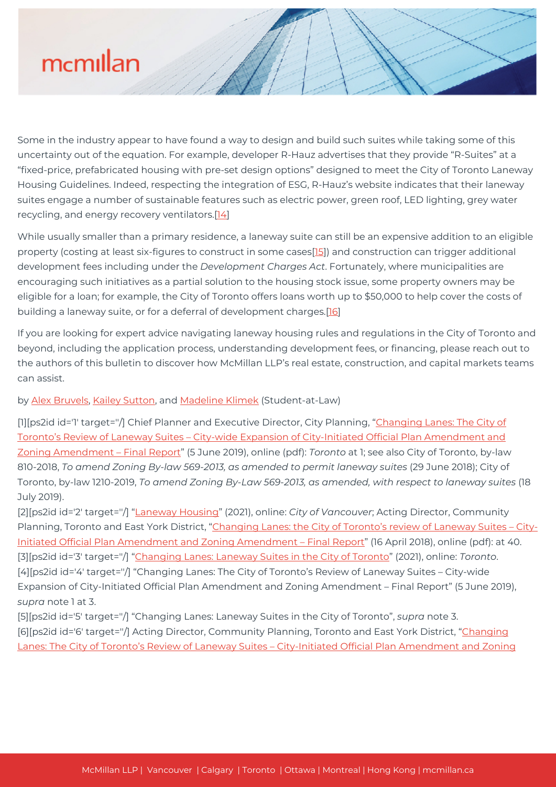# mcmillan

Some in the industry appear to have found a way to design and build such suites while taking some of this uncertainty out of the equation. For example, developer R-Hauz advertises that they provide "R-Suites" at a "fixed-price, prefabricated housing with pre-set design options" designed to meet the City of Toronto Laneway Housing Guidelines. Indeed, respecting the integration of ESG, R-Hauz's website indicates that their laneway suites engage a number of sustainable features such as electric power, green roof, LED lighting, grey water recycling, and energy recovery ventilators.[[14\]](#page--1-0)

While usually smaller than a primary residence, a laneway suite can still be an expensive addition to an eligible property (costing at least six-figures to construct in some cases[\[15](#page--1-0)]) and construction can trigger additional development fees including under the *Development Charges Act*. Fortunately, where municipalities are encouraging such initiatives as a partial solution to the housing stock issue, some property owners may be eligible for a loan; for example, the City of Toronto offers loans worth up to \$50,000 to help cover the costs of building a laneway suite, or for a deferral of development charges.<sup>[\[16\]](#page--1-0)</sup>

If you are looking for expert advice navigating laneway housing rules and regulations in the City of Toronto and beyond, including the application process, understanding development fees, or financing, please reach out to the authors of this bulletin to discover how McMillan LLP's real estate, construction, and capital markets teams can assist.

#### by [Alex Bruvels,](https://mcmillan.ca/people/alex-bruvels/) [Kailey Sutton](https://mcmillan.ca/people/kailey-sutton/), and [Madeline Klimek](https://mcmillan.ca/people/madeline-klimek/) (Student-at-Law)

[1][ps2id id='1' target=''/] Chief Planner and Executive Director, City Planning, "[Changing Lanes: The City of](https://www.toronto.ca/legdocs/mmis/2019/ph/bgrd/backgroundfile-135115.pdf) [Toronto's Review of Laneway Suites – City-wide Expansion of City-Initiated Official Plan Amendment and](https://www.toronto.ca/legdocs/mmis/2019/ph/bgrd/backgroundfile-135115.pdf) [Zoning Amendment – Final Report"](https://www.toronto.ca/legdocs/mmis/2019/ph/bgrd/backgroundfile-135115.pdf) (5 June 2019), online (pdf): *Toronto* at 1; see also City of Toronto, by-law 810-2018, *To amend Zoning By-law 569-2013, as amended to permit laneway suites* (29 June 2018); City of Toronto, by-law 1210-2019, *To amend Zoning By-Law 569-2013, as amended, with respect to laneway suites* (18 July 2019).

[2][ps2id id='2' target=''/] "[Laneway Housing](https://vancouver.ca/people-programs/laneway-houses-and-secondary-suites.aspx#:~:text=In%20July%202009%2C%20Council%20adopted,the%20city)" (2021), online: *City of Vancouver*; Acting Director, Community Planning, Toronto and East York District, ["Changing Lanes: the City of Toronto's review of Laneway Suites – City-](https://www.toronto.ca/legdocs/mmis/2018/te/bgrd/backgroundfile-114992.pdf)[Initiated Official Plan Amendment and Zoning Amendment – Final Report](https://www.toronto.ca/legdocs/mmis/2018/te/bgrd/backgroundfile-114992.pdf)" (16 April 2018), online (pdf): at 40. [3][ps2id id='3' target=''/] "[Changing Lanes: Laneway Suites in the City of Toronto"](https://www.toronto.ca/city-government/planning-development/planning-studies-initiatives/changing-lanes-the-city-of-torontos-review-of-laneway-suites/) (2021), online: *Toronto*. [4][ps2id id='4' target=''/] "Changing Lanes: The City of Toronto's Review of Laneway Suites – City-wide Expansion of City-Initiated Official Plan Amendment and Zoning Amendment – Final Report" (5 June 2019), *supra* note 1 at 3.

[5][ps2id id='5' target=''/] "Changing Lanes: Laneway Suites in the City of Toronto", *supra* note 3. [6][ps2id id='6' target=''/] Acting Director, Community Planning, Toronto and East York District, "[Changing](https://www.toronto.ca/legdocs/mmis/2018/te/bgrd/backgroundfile-114362.pdf) [Lanes: The City of Toronto's Review of Laneway Suites – City-Initiated Official Plan Amendment and Zoning](https://www.toronto.ca/legdocs/mmis/2018/te/bgrd/backgroundfile-114362.pdf)